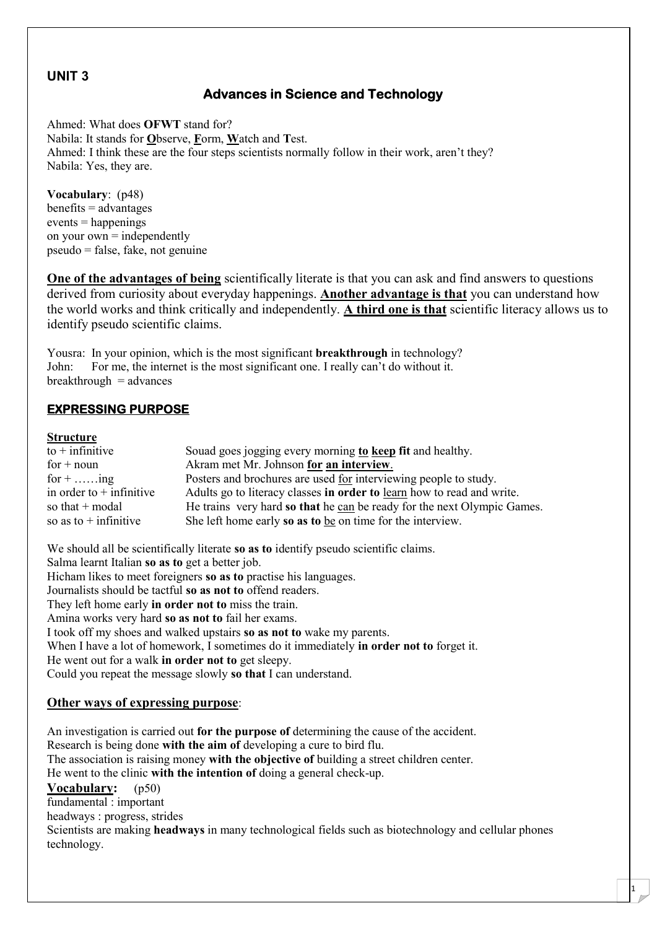### **UNIT 3**

# **Advances in Science and Technology**

Ahmed: What does **OFWT** stand for? Nabila: It stands for **O**bserve, **F**orm, **W**atch and **T**est. Ahmed: I think these are the four steps scientists normally follow in their work, aren't they? Nabila: Yes, they are.

**Vocabulary**: (p48)  $b$ enefits = advantages events = happenings on your own  $=$  independently pseudo = false, fake, not genuine

**One of the advantages of being** scientifically literate is that you can ask and find answers to questions derived from curiosity about everyday happenings. **Another advantage is that** you can understand how the world works and think critically and independently. **A third one is that** scientific literacy allows us to identify pseudo scientific claims.

Yousra: In your opinion, which is the most significant **breakthrough** in technology? John: For me, the internet is the most significant one. I really can't do without it.  $breakthrough = advances$ 

## **EXPRESSING PURPOSE**

#### **Structure**

| $to +$ infinitive          | Souad goes jogging every morning to keep fit and healthy.               |
|----------------------------|-------------------------------------------------------------------------|
| $for + noun$               | Akram met Mr. Johnson for an interview.                                 |
| for $+$ ing                | Posters and brochures are used <u>for</u> interviewing people to study. |
| in order to $+$ infinitive | Adults go to literacy classes in order to learn how to read and write.  |
| so that $+$ modal          | He trains very hard so that he can be ready for the next Olympic Games. |
| so as to $+$ infinitive    | She left home early so as to be on time for the interview.              |

We should all be scientifically literate **so as to** identify pseudo scientific claims. Salma learnt Italian **so as to** get a better job. Hicham likes to meet foreigners **so as to** practise his languages. Journalists should be tactful **so as not to** offend readers. They left home early **in order not to** miss the train. Amina works very hard **so as not to** fail her exams. I took off my shoes and walked upstairs **so as not to** wake my parents. When I have a lot of homework, I sometimes do it immediately **in order not to** forget it. He went out for a walk **in order not to** get sleepy. Could you repeat the message slowly **so that** I can understand.

#### **Other ways of expressing purpose**:

An investigation is carried out **for the purpose of** determining the cause of the accident. Research is being done **with the aim of** developing a cure to bird flu. The association is raising money **with the objective of** building a street children center. He went to the clinic **with the intention of** doing a general check-up. **Vocabulary:** (p50) fundamental : important headways : progress, strides Scientists are making **headways** in many technological fields such as biotechnology and cellular phones technology.

1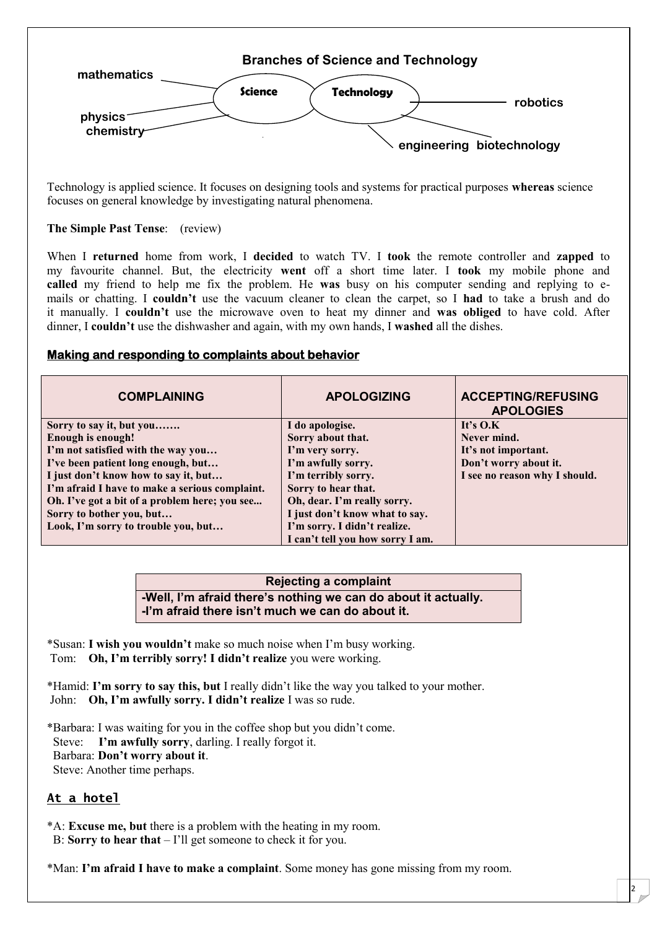

Technology is applied science. It focuses on designing tools and systems for practical purposes **whereas** science focuses on general knowledge by investigating natural phenomena.

#### **The Simple Past Tense**: (review)

When I **returned** home from work, I **decided** to watch TV. I **took** the remote controller and **zapped** to my favourite channel. But, the electricity **went** off a short time later. I **took** my mobile phone and **called** my friend to help me fix the problem. He **was** busy on his computer sending and replying to e mails or chatting. I **couldn't** use the vacuum cleaner to clean the carpet, so I **had** to take a brush and do it manually. I **couldn't** use the microwave oven to heat my dinner and **was obliged** to have cold. After dinner, I **couldn't** use the dishwasher and again, with my own hands, I **washed** all the dishes.

#### **Making and responding to complaints about behavior**

| <b>COMPLAINING</b>                             | <b>APOLOGIZING</b>               | <b>ACCEPTING/REFUSING</b><br><b>APOLOGIES</b> |
|------------------------------------------------|----------------------------------|-----------------------------------------------|
| Sorry to say it, but you                       | I do apologise.                  | It's $O.K$                                    |
| <b>Enough is enough!</b>                       | Sorry about that.                | Never mind.                                   |
| I'm not satisfied with the way you             | I'm very sorry.                  | It's not important.                           |
| I've been patient long enough, but             | I'm awfully sorry.               | Don't worry about it.                         |
| I just don't know how to say it, but           | I'm terribly sorry.              | I see no reason why I should.                 |
| I'm afraid I have to make a serious complaint. | Sorry to hear that.              |                                               |
| Oh. I've got a bit of a problem here; you see  | Oh, dear. I'm really sorry.      |                                               |
| Sorry to bother you, but                       | I just don't know what to say.   |                                               |
| Look, I'm sorry to trouble you, but            | I'm sorry. I didn't realize.     |                                               |
|                                                | I can't tell you how sorry I am. |                                               |

### **Rejecting a complaint -Well, I'm afraid there's nothing we can do about it actually. -I'm afraid there isn't much we can do about it.**

\*Susan: **I wish you wouldn't** make so much noise when I'm busy working. Tom: **Oh, I'm terribly sorry! I didn't realize** you were working.

\*Hamid: **I'm sorry to say this, but** I really didn't like the way you talked to your mother. John: **Oh, I'm awfully sorry. I didn't realize** I was so rude.

\*Barbara: I was waiting for you in the coffee shop but you didn't come. Steve: **I'm awfully sorry**, darling. I really forgot it. Barbara: **Don't worry about it**. Steve: Another time perhaps.

## **At a hotel**

\*A: **Excuse me, but** there is a problem with the heating in my room. B: **Sorry to hear that** – I'll get someone to check it for you.

\*Man: **I'm afraid I have to make a complaint**. Some money has gone missing from my room.

2 |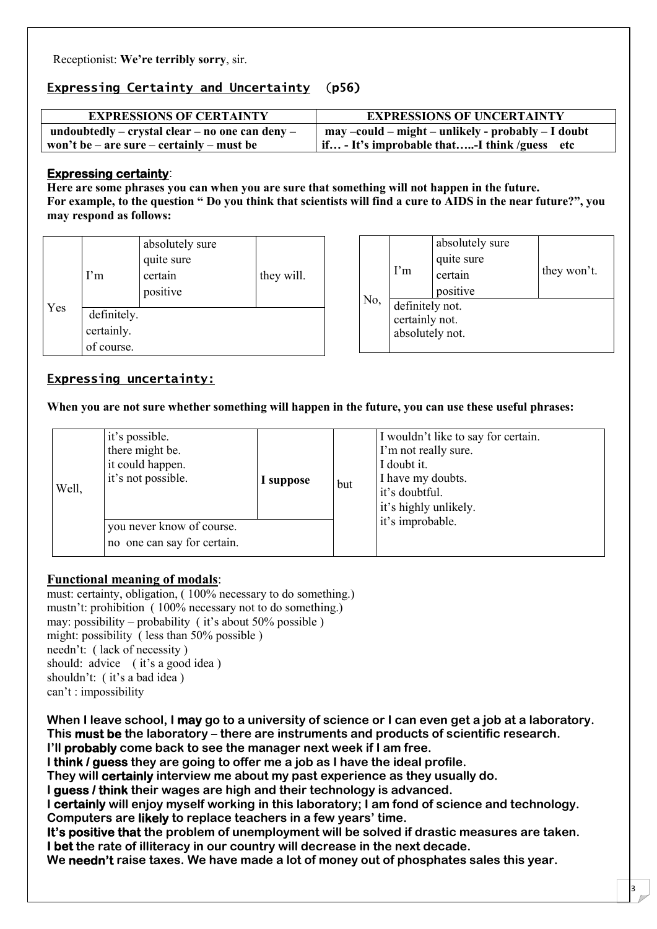Receptionist: **We're terribly sorry**, sir.

## **Expressing Certainty and Uncertainty** (**p56)**

| <b>EXPRESSIONS OF CERTAINTY</b>                 | <b>EXPRESSIONS OF UNCERTAINTY</b>                    |
|-------------------------------------------------|------------------------------------------------------|
| undoubtedly – crystal clear – no one can deny – | $may$ -could – might – unlikely - probably – I doubt |
| won't be – are sure – certainly – must be       | $\int$ if - It's improbable that-I think /guess etc  |

#### **Expressing certainty**:

**Here are some phrases you can when you are sure that something will not happen in the future. For example, to the question " Do you think that scientists will find a cure to AIDS in the near future?", you may respond as follows:**

|     | $\Gamma$ m                              | absolutely sure<br>quite sure<br>certain<br>positive | they will. |
|-----|-----------------------------------------|------------------------------------------------------|------------|
| Yes | definitely.<br>certainly.<br>of course. |                                                      |            |

|     | $\Gamma$ m                                           | absolutely sure<br>quite sure<br>certain<br>positive | they won't. |
|-----|------------------------------------------------------|------------------------------------------------------|-------------|
| No, | definitely not.<br>certainly not.<br>absolutely not. |                                                      |             |

3

#### **Expressing uncertainty:**

**When you are not sure whether something will happen in the future, you can use these useful phrases:**

| Well, | it's possible.<br>there might be.<br>it could happen.<br>it's not possible. | I suppose | but | I wouldn't like to say for certain.<br>I'm not really sure.<br>I doubt it.<br>I have my doubts.<br>it's doubtful.<br>it's highly unlikely. |
|-------|-----------------------------------------------------------------------------|-----------|-----|--------------------------------------------------------------------------------------------------------------------------------------------|
|       | you never know of course.<br>no one can say for certain.                    |           |     | it's improbable.                                                                                                                           |

## **Functional meaning of modals**:

must: certainty, obligation, ( 100% necessary to do something.) mustn't: prohibition ( 100% necessary not to do something.) may: possibility – probability ( it's about 50% possible ) might: possibility ( less than 50% possible ) needn't: ( lack of necessity ) should: advice (it's a good idea) shouldn't: (it's a bad idea) can't : impossibility

**When I leave school, I may go to a university of science or I can even get a job at a laboratory. This must be the laboratory – there are instruments and products of scientific research.**

**I'll probably come back to see the manager next week if I am free.**

**I think / guess they are going to offer me a job as I have the ideal profile.**

**They will certainly interview me about my past experience as they usually do.**

**I guess / think their wages are high and their technology is advanced.**

**I certainly will enjoy myself working in this laboratory; I am fond of science and technology. Computers are likely to replace teachers in a few years' time.**

**It's positive that the problem of unemployment will be solved if drastic measures are taken. I bet the rate of illiteracy in our country will decrease in the next decade.**

**We needn't raise taxes. We have made a lot of money out of phosphates sales this year.**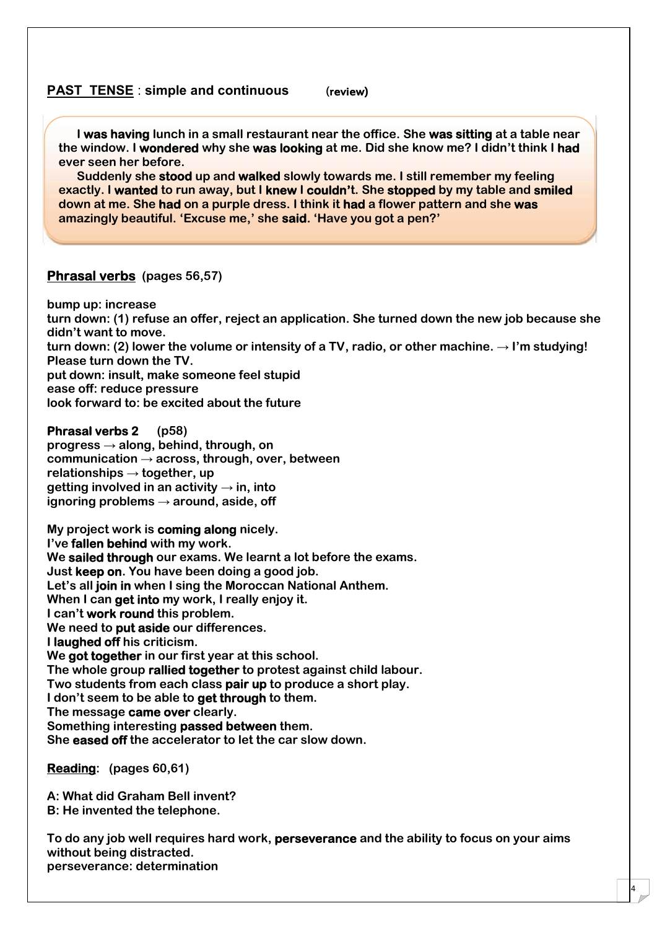### **PAST TENSE** : **simple and continuous** (**review)**

**I was having lunch in a small restaurant near the office. She was sitting at a table near the window. I wondered why she was looking at me. Did she know me? I didn't think I had ever seen her before.**

**Suddenly she stood up and walked slowly towards me. I still remember my feeling exactly. I wanted to run away, but I knew I couldn't. She stopped by my table and smiled down at me. She had on a purple dress. I think it had a flower pattern and she was amazingly beautiful. 'Excuse me,' she said. 'Have you got a pen?'**

#### **Phrasal verbs (pages 56,57)**

**bump up: increase**

**turn down: (1) refuse an offer, reject an application. She turned down the new job because she didn't want to move.**

**turn down: (2) lower the volume or intensity of a TV, radio, or other machine.** → **I'm studying! Please turn down the TV.**

**put down: insult, make someone feel stupid**

**ease off: reduce pressure**

**look forward to: be excited about the future**

**Phrasal verbs 2 (p58) progress** → **along, behind, through, on**

**communication** → **across, through, over, between relationships** → **together, up getting involved in an activity** → **in, into ignoring problems** → **around, aside, off**

**My project work is coming along nicely. I've fallen behind with my work. We sailed through our exams. We learnt a lot before the exams. Just keep on. You have been doing a good job. Let's all join in when I sing the Moroccan National Anthem. When I can get into my work, I really enjoy it. I can't work round this problem. We need to put aside our differences. I laughed off his criticism. We got together in our first year at this school. The whole group rallied together to protest against child labour. Two students from each class pair up to produce a short play. I don't seem to be able to get through to them. The message came over clearly. Something interesting passed between them. She eased off the accelerator to let the car slow down.**

**Reading: (pages 60,61)**

**A: What did Graham Bell invent? B: He invented the telephone.**

**To do any job well requires hard work, perseverance and the ability to focus on your aims without being distracted. perseverance: determination**

4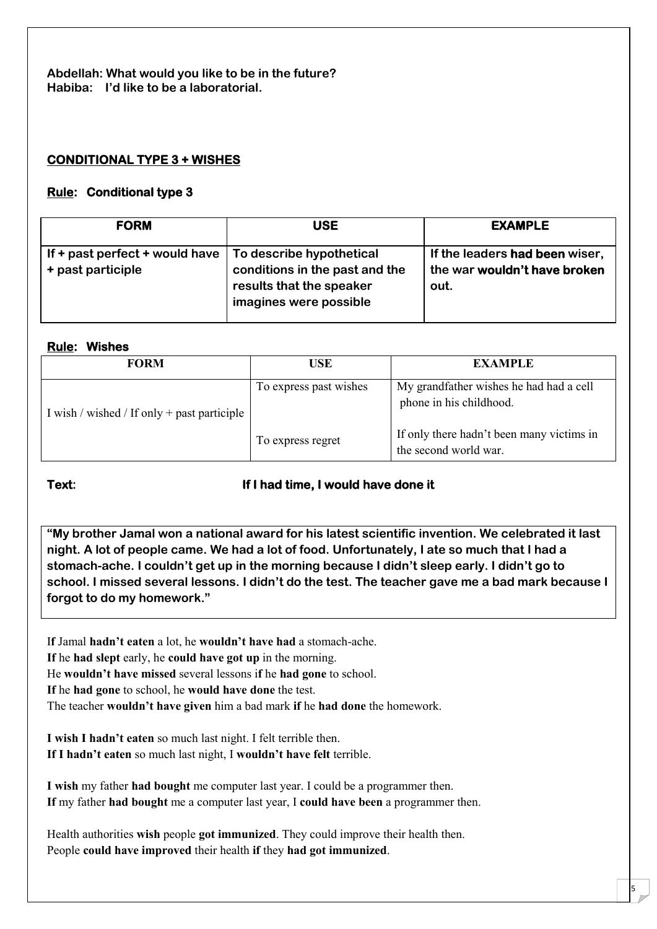**Abdellah: What would you like to be in the future? Habiba: I'd like to be a laboratorial.**

## **CONDITIONAL TYPE 3 + WISHES**

#### **Rule: Conditional type 3**

| <b>FORM</b>                                                                      | <b>USE</b>                                                                           | <b>EXAMPLE</b>                                                         |
|----------------------------------------------------------------------------------|--------------------------------------------------------------------------------------|------------------------------------------------------------------------|
| If + past perfect + would have $ $ To describe hypothetical<br>+ past participle | conditions in the past and the<br>results that the speaker<br>imagines were possible | If the leaders had been wiser,<br>the war wouldn't have broken<br>out. |

#### **Rule: Wishes**

| <b>FORM</b>                                 | USE                    | <b>EXAMPLE</b>                                                     |
|---------------------------------------------|------------------------|--------------------------------------------------------------------|
| I wish / wished / If only + past participle | To express past wishes | My grandfather wishes he had had a cell<br>phone in his childhood. |
|                                             | To express regret      | If only there hadn't been many victims in<br>the second world war. |

## **Text: If I had time, I would have done it**

**"My brother Jamal won a national award for his latest scientific invention. We celebrated it last night. A lot of people came. We had a lot of food. Unfortunately, I ate so much that I had a stomach-ache. I couldn't get up in the morning because I didn't sleep early. I didn't go to school. I missed several lessons. I didn't do the test. The teacher gave me a bad mark because I forgot to do my homework."**

I**f** Jamal **hadn't eaten** a lot, he **wouldn't have had** a stomach-ache. **If** he **had slept** early, he **could have got up** in the morning. He **wouldn't have missed** several lessons i**f** he **had gone** to school. **If** he **had gone** to school, he **would have done** the test. The teacher **wouldn't have given** him a bad mark **if** he **had done** the homework.

**I wish I hadn't eaten** so much last night. I felt terrible then. **If I hadn't eaten** so much last night, I **wouldn't have felt** terrible.

**I wish** my father **had bought** me computer last year. I could be a programmer then. **If** my father **had bought** me a computer last year, I **could have been** a programmer then.

Health authorities **wish** people **got immunized**. They could improve their health then. People **could have improved** their health **if** they **had got immunized**.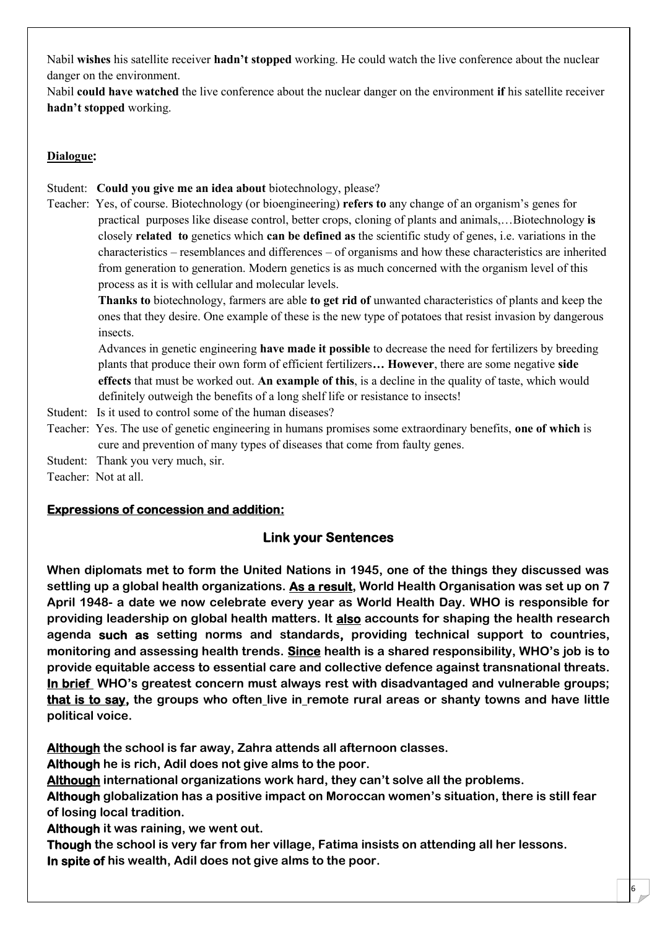Nabil **wishes** his satellite receiver **hadn't stopped** working. He could watch the live conference about the nuclear danger on the environment.

Nabil **could have watched** the live conference about the nuclear danger on the environment **if** his satellite receiver **hadn't stopped** working.

## **Dialogue:**

### Student: **Could you give me an idea about** biotechnology, please?

Teacher: Yes, of course. Biotechnology (or bioengineering) **refers to** any change of an organism's genes for practical purposes like disease control, better crops, cloning of plants and animals,…Biotechnology **is** closely **related to** genetics which **can be defined as** the scientific study of genes, i.e. variations in the characteristics – resemblances and differences – of organisms and how these characteristics are inherited from generation to generation. Modern genetics is as much concerned with the organism level of this process as it is with cellular and molecular levels.

**Thanks to** biotechnology, farmers are able **to get rid of** unwanted characteristics of plants and keep the ones that they desire. One example of these is the new type of potatoes that resist invasion by dangerous insects.

Advances in genetic engineering **have made it possible** to decrease the need for fertilizers by breeding plants that produce their own form of efficient fertilizers**… However**, there are some negative **side effects** that must be worked out. **An example of this**, is a decline in the quality of taste, which would definitely outweigh the benefits of a long shelf life or resistance to insects!

Student: Is it used to control some of the human diseases?

Teacher: Yes. The use of genetic engineering in humans promises some extraordinary benefits, **one of which** is cure and prevention of many types of diseases that come from faulty genes.

Student: Thank you very much, sir.

Teacher: Not at all.

# **Expressions of concession and addition:**

# **Link your Sentences**

**When diplomats met to form the United Nations in 1945, one of the things they discussed was settling up a global health organizations. As a result, World Health Organisation was set up on 7 April 1948- a date we now celebrate every year as World Health Day. WHO is responsible for providing leadership on global health matters. It also accounts for shaping the health research agenda such as setting norms and standards, providing technical support to countries, monitoring and assessing health trends. Since health is a shared responsibility, WHO's job is to provide equitable access to essential care and collective defence against transnational threats. In brief WHO's greatest concern must always rest with disadvantaged and vulnerable groups; that is to say, the groups who often live in remote rural areas or shanty towns and have little political voice.**

**Although the school is far away, Zahra attends all afternoon classes.**

**Although he is rich, Adil does not give alms to the poor.**

**Although international organizations work hard, they can't solve all the problems.**

**Although globalization has a positive impact on Moroccan women's situation, there is still fear of losing local tradition.**

6

**Although it was raining, we went out.**

**Though the school is very far from her village, Fatima insists on attending all her lessons. In spite of his wealth, Adil does not give alms to the poor.**